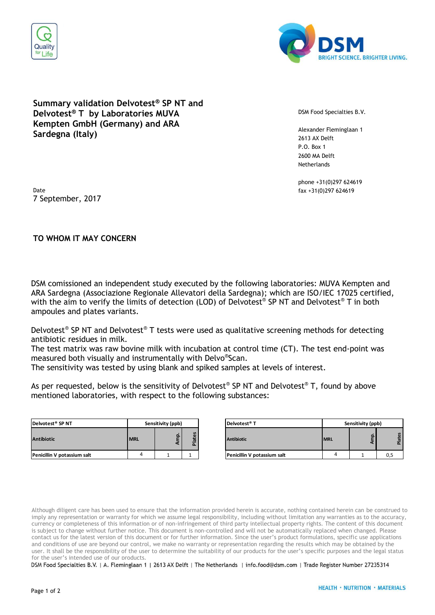



## **Summary validation Delvotest® SP NT and Delvotest® T by Laboratories MUVA Kempten GmbH (Germany) and ARA Sardegna (Italy)**

DSM Food Specialties B.V.

Alexander Fleminglaan 1 2613 AX Delft P.O. Box 1 2600 MA Delft **Netherlands** 

phone +31(0)297 624619

Date fax +31(0)297 624619 7 September, 2017

## **TO WHOM IT MAY CONCERN**

DSM comissioned an independent study executed by the following laboratories: MUVA Kempten and ARA Sardegna (Associazione Regionale Allevatori della Sardegna); which are ISO/IEC 17025 certified, with the aim to verify the limits of detection (LOD) of Delvotest® SP NT and Delvotest® T in both ampoules and plates variants.

Delvotest® SP NT and Delvotest® T tests were used as qualitative screening methods for detecting antibiotic residues in milk.

The test matrix was raw bovine milk with incubation at control time (CT). The test end-point was measured both visually and instrumentally with Delvo® Scan.

The sensitivity was tested by using blank and spiked samples at levels of interest.

As per requested, below is the sensitivity of Delvotest® SP NT and Delvotest® T, found by above mentioned laboratories, with respect to the following substances:

| Delvotest <sup>®</sup> SP NT |            | Sensitivity (ppb) | Delvotest <sup>®</sup> T |                   |
|------------------------------|------------|-------------------|--------------------------|-------------------|
| <b>Antibiotic</b>            | <b>MRL</b> |                   | <b>Plates</b>            | <b>Antibiotic</b> |
| Penicillin V potassium salt  | 4          |                   |                          | Penicillin V p    |

| Delvotest® SP NT            | Sensitivity (ppb) |  |                        | Delvotest <sup>®</sup> T    | Sensitivity (ppb) |  |         |
|-----------------------------|-------------------|--|------------------------|-----------------------------|-------------------|--|---------|
| Antibiotic                  | <b>IMRL</b>       |  | $\mathbf{v}$<br>ത<br>ᄒ | <b>Antibiotic</b>           | <b>MRL</b>        |  | 留.<br>ത |
| Penicillin V potassium salt |                   |  |                        | Penicillin V potassium salt |                   |  | 0,5     |

Although diligent care has been used to ensure that the information provided herein is accurate, nothing contained herein can be construed to imply any representation or warranty for which we assume legal responsibility, including without limitation any warranties as to the accuracy, currency or completeness of this information or of non-infringement of third party intellectual property rights. The content of this document is subject to change without further notice. This document is non-controlled and will not be automatically replaced when changed. Please contact us for the latest version of this document or for further information. Since the user's product formulations, specific use applications and conditions of use are beyond our control, we make no warranty or representation regarding the results which may be obtained by the user. It shall be the responsibility of the user to determine the suitability of our products for the user's specific purposes and the legal status for the user's intended use of our products.

DSM Food Specialties B.V. | A. Fleminglaan 1 | 2613 AX Delft | The Netherlands | info.food@dsm.com | Trade Register Number 27235314